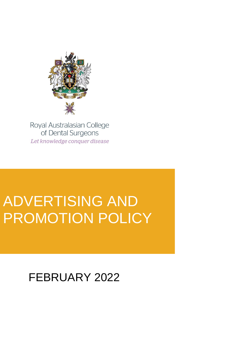

Royal Australasian College of Dental Surgeons Let knowledge conquer disease

# ADVERTISING AND PROMOTION POLICY

FEBRUARY 2022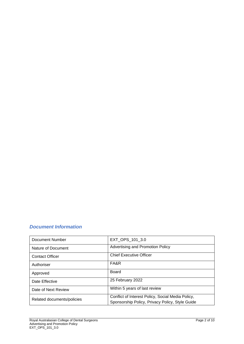# *Document Information*

| Document Number            | EXT_OPS_101_3.0                                                                                      |
|----------------------------|------------------------------------------------------------------------------------------------------|
| Nature of Document         | Advertising and Promotion Policy                                                                     |
| <b>Contact Officer</b>     | <b>Chief Executive Officer</b>                                                                       |
| Authoriser                 | FA&R                                                                                                 |
| Approved                   | Board                                                                                                |
| Date Effective             | 25 February 2022                                                                                     |
| Date of Next Review        | Within 5 years of last review                                                                        |
| Related documents/policies | Conflict of Interest Policy, Social Media Policy,<br>Sponsorship Policy, Privacy Policy, Style Guide |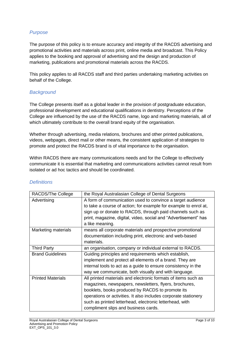# *Purpose*

The purpose of this policy is to ensure accuracy and integrity of the RACDS advertising and promotional activities and materials across print, online media and broadcast. This Policy applies to the booking and approval of advertising and the design and production of marketing, publications and promotional materials across the RACDS.

This policy applies to all RACDS staff and third parties undertaking marketing activities on behalf of the College.

# *Background*

The College presents itself as a global leader in the provision of postgraduate education, professional development and educational qualifications in dentistry. Perceptions of the College are influenced by the use of the RACDS name, logo and marketing materials, all of which ultimately contribute to the overall brand equity of the organisation.

Whether through advertising, media relations, brochures and other printed publications, videos, webpages, direct mail or other means, the consistent application of strategies to promote and protect the RACDS brand is of vital importance to the organisation.

Within RACDS there are many communications needs and for the College to effectively communicate it is essential that marketing and communications activities cannot result from isolated or ad hoc tactics and should be coordinated.

| RACDS/The College        | the Royal Australasian College of Dental Surgeons                |
|--------------------------|------------------------------------------------------------------|
| Advertising              | A form of communication used to convince a target audience       |
|                          | to take a course of action; for example for example to enrol at, |
|                          | sign up or donate to RACDS, through paid channels such as        |
|                          | print, magazine, digital, video, social and "Advertisement" has  |
|                          | a like meaning.                                                  |
| Marketing materials      | means all corporate materials and prospective promotional        |
|                          | documentation including print, electronic and web-based          |
|                          | materials.                                                       |
| <b>Third Party</b>       | an organisation, company or individual external to RACDS.        |
| <b>Brand Guidelines</b>  | Guiding principles and requirements which establish,             |
|                          | implement and protect all elements of a brand. They are          |
|                          | internal tools to act as a guide to ensure consistency in the    |
|                          | way we communicate, both visually and with language.             |
| <b>Printed Materials</b> | All printed materials and electronic formats of items such as    |
|                          | magazines, newspapers, newsletters, flyers, brochures,           |
|                          | booklets, books produced by RACDS to promote its                 |
|                          | operations or activities. It also includes corporate stationery  |
|                          | such as printed letterhead, electronic letterhead, with          |
|                          | compliment slips and business cards.                             |

## *Definitions*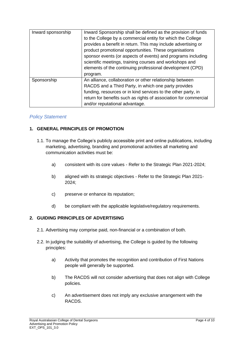| Inward sponsorship | Inward Sponsorship shall be defined as the provision of funds    |
|--------------------|------------------------------------------------------------------|
|                    | to the College by a commercial entity for which the College      |
|                    | provides a benefit in return. This may include advertising or    |
|                    | product promotional opportunities. These organisations           |
|                    | sponsor events (or aspects of events) and programs including     |
|                    | scientific meetings, training courses and workshops and          |
|                    | elements of the continuing professional development (CPD)        |
|                    | program.                                                         |
| Sponsorship        | An alliance, collaboration or other relationship between         |
|                    | RACDS and a Third Party, in which one party provides             |
|                    | funding, resources or in kind services to the other party, in    |
|                    | return for benefits such as rights of association for commercial |
|                    | and/or reputational advantage.                                   |

# *Policy Statement*

## **1. GENERAL PRINCIPLES OF PROMOTION**

- 1.1. To manage the College's publicly accessible print and online publications, including marketing, advertising, branding and promotional activities all marketing and communication activities must be:
	- a) consistent with its core values Refer to the Strategic Plan 2021-2024;
	- b) aligned with its strategic objectives Refer to the Strategic Plan 2021- 2024;
	- c) preserve or enhance its reputation;
	- d) be compliant with the applicable legislative/regulatory requirements.

## **2. GUIDING PRINCIPLES OF ADVERTISING**

- 2.1. Advertising may comprise paid, non-financial or a combination of both.
- 2.2. In judging the suitability of advertising, the College is guided by the following principles:
	- a) Activity that promotes the recognition and contribution of First Nations people will generally be supported.
	- b) The RACDS will not consider advertising that does not align with College policies.
	- c) An advertisement does not imply any exclusive arrangement with the RACDS.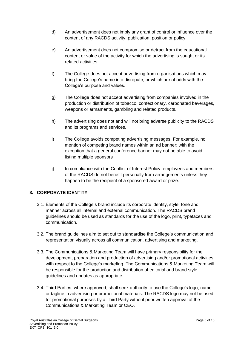- d) An advertisement does not imply any grant of control or influence over the content of any RACDS activity, publication, position or policy.
- e) An advertisement does not compromise or detract from the educational content or value of the activity for which the advertising is sought or its related activities.
- f) The College does not accept advertising from organisations which may bring the College's name into disrepute, or which are at odds with the College's purpose and values.
- g) The College does not accept advertising from companies involved in the production or distribution of tobacco, confectionary, carbonated beverages, weapons or armaments, gambling and related products.
- h) The advertising does not and will not bring adverse publicity to the RACDS and its programs and services.
- i) The College avoids competing advertising messages. For example, no mention of competing brand names within an ad banner; with the exception that a general conference banner may not be able to avoid listing multiple sponsors
- j) In compliance with the Conflict of Interest Policy, employees and members of the RACDS do not benefit personally from arrangements unless they happen to be the recipient of a sponsored award or prize.

# **3. CORPORATE IDENTITY**

- 3.1. Elements of the College's brand include its corporate identity, style, tone and manner across all internal and external communication. The RACDS brand guidelines should be used as standards for the use of the logo, print, typefaces and communication.
- 3.2. The brand guidelines aim to set out to standardise the College's communication and representation visually across all communication, advertising and marketing.
- 3.3. The Communications & Marketing Team will have primary responsibility for the development, preparation and production of advertising and/or promotional activities with respect to the College's marketing. The Communications & Marketing Team will be responsible for the production and distribution of editorial and brand style guidelines and updates as appropriate.
- 3.4. Third Parties, where approved, shall seek authority to use the College's logo, name or tagline in advertising or promotional materials. The RACDS logo may not be used for promotional purposes by a Third Party without prior written approval of the Communications & Marketing Team or CEO.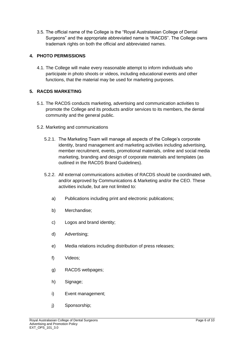3.5. The official name of the College is the "Royal Australasian College of Dental Surgeons" and the appropriate abbreviated name is "RACDS". The College owns trademark rights on both the official and abbreviated names.

# **4. PHOTO PERMISSIONS**

4.1. The College will make every reasonable attempt to inform individuals who participate in photo shoots or videos, including educational events and other functions, that the material may be used for marketing purposes.

## **5. RACDS MARKETING**

- 5.1. The RACDS conducts marketing, advertising and communication activities to promote the College and its products and/or services to its members, the dental community and the general public.
- 5.2. Marketing and communications
	- 5.2.1. The Marketing Team will manage all aspects of the College's corporate identity, brand management and marketing activities including advertising, member recruitment, events, promotional materials, online and social media marketing, branding and design of corporate materials and templates (as outlined in the RACDS Brand Guidelines).
	- 5.2.2. All external communications activities of RACDS should be coordinated with, and/or approved by Communications & Marketing and/or the CEO. These activities include, but are not limited to:
		- a) Publications including print and electronic publications;
		- b) Merchandise;
		- c) Logos and brand identity;
		- d) Advertising;
		- e) Media relations including distribution of press releases;
		- f) Videos;
		- g) RACDS webpages;
		- h) Signage;
		- i) Event management;
		- j) Sponsorship;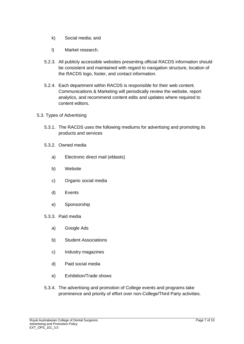- k) Social media; and
- l) Market research.
- 5.2.3. All publicly accessible websites presenting official RACDS information should be consistent and maintained with regard to navigation structure, location of the RACDS logo, footer, and contact information.
- 5.2.4. Each department within RACDS is responsible for their web content. Communications & Marketing will periodically review the website, report analytics, and recommend content edits and updates where required to content editors.
- 5.3. Types of Advertising
	- 5.3.1. The RACDS uses the following mediums for advertising and promoting its products and services
	- 5.3.2. Owned media
		- a) Electronic direct mail (eblasts)
		- b) Website
		- c) Organic social media
		- d) Events
		- e) Sponsorship
	- 5.3.3. Paid media
		- a) Google Ads
		- b) Student Associations
		- c) Industry magazines
		- d) Paid social media
		- e) Exhibition/Trade shows
	- 5.3.4. The advertising and promotion of College events and programs take prominence and priority of effort over non-College/Third Party activities.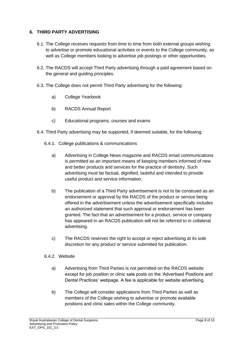### **6. THIRD PARTY ADVERTISING**

- 6.1. The College receives requests from time to time from both external groups wishing to advertise or promote educational activities or events to the College community, as well as College members looking to advertise job postings or other opportunities.
- 6.2. The RACDS will accept Third Party advertising through a paid agreement based on the general and guiding principles.
- 6.3. The College does not permit Third Party advertising for the following:
	- a) College Yearbook
	- b) RACDS Annual Report
	- c) Educational programs, courses and exams
- 6.4. Third Party advertising may be supported, if deemed suitable, for the following:
	- 6.4.1. College publications & communications
		- a) Advertising in College News magazine and RACDS email communications is permitted as an important means of keeping members informed of new and better products and services for the practice of dentistry. Such advertising must be factual, dignified, tasteful and intended to provide useful product and service information.
		- b) The publication of a Third Party advertisement is not to be construed as an endorsement or approval by the RACDS of the product or service being offered in the advertisement unless the advertisement specifically includes an authorized statement that such approval or endorsement has been granted. The fact that an advertisement for a product, service or company has appeared in an RACDS publication will not be referred to in collateral advertising.
		- c) The RACDS reserves the right to accept or reject advertising at its sole discretion for any product or service submitted for publication.
	- 6.4.2. Website
		- a) Advertising from Third Parties is not permitted on the RACDS website except for job position or clinic sale posts on the 'Advertised Positions and Dental Practices' webpage. A fee is applicable for website advertising.
		- b) The College will consider applications from Third Parties as well as members of the College wishing to advertise or promote available positions and clinic sales within the College community.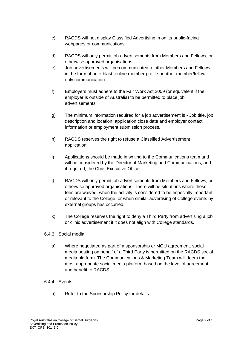- c) RACDS will not display Classified Advertising in on its public-facing webpages or communications
- d) RACDS will only permit job advertisements from Members and Fellows, or otherwise approved organisations.
- e) Job advertisements will be communicated to other Members and Fellows in the form of an e-blast, online member profile or other member/fellow only communication.
- f) Employers must adhere to the Fair Work Act 2009 (or equivalent if the employer is outside of Australia) to be permitted to place job advertisements.
- g) The minimum information required for a job advertisement is Job title, job description and location, application close date and employer contact information or employment submission process.
- h) RACDS reserves the right to refuse a Classified Advertisement application.
- i) Applications should be made in writing to the Communications team and will be considered by the Director of Marketing and Communications, and if required, the Chief Executive Officer.
- j) RACDS will only permit job advertisements from Members and Fellows, or otherwise approved organisations. There will be situations where these fees are waived, when the activity is considered to be especially important or relevant to the College, or when similar advertising of College events by external groups has occurred.
- k) The College reserves the right to deny a Third Party from advertising a job or clinic advertisement if it does not align with College standards.

# 6.4.3. Social media

a) Where negotiated as part of a sponsorship or MOU agreement, social media posting on behalf of a Third Party is permitted on the RACDS social media platform. The Communications & Marketing Team will deem the most appropriate social media platform based on the level of agreement and benefit to RACDS.

# 6.4.4. Events

a) Refer to the Sponsorship Policy for details.